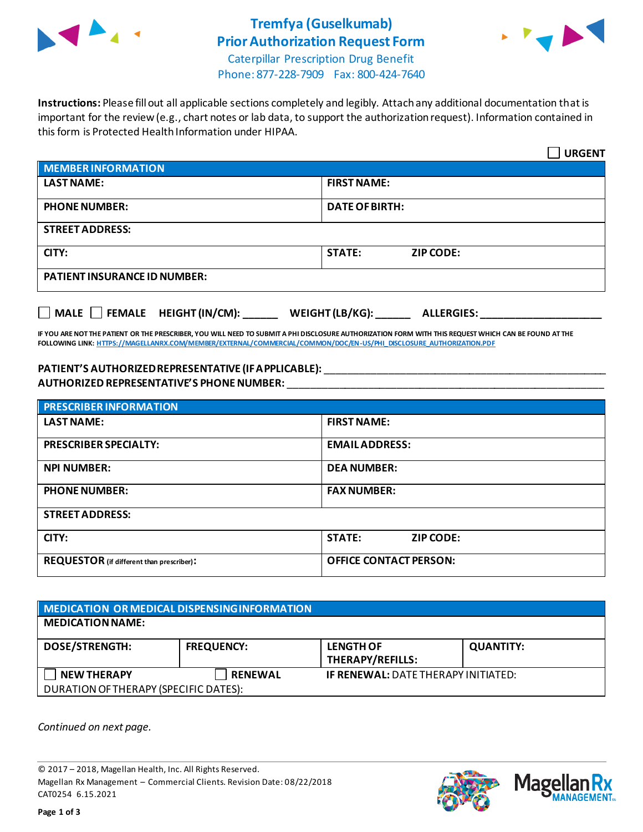

## **Tremfya (Guselkumab) Prior Authorization Request Form**



Caterpillar Prescription Drug Benefit Phone: 877-228-7909 Fax: 800-424-7640

**Instructions:** Please fill out all applicable sections completely and legibly. Attach any additional documentation that is important for the review (e.g., chart notes or lab data, to support the authorization request). Information contained in this form is Protected Health Information under HIPAA.

|                                           | <b>URGENT</b>                        |  |
|-------------------------------------------|--------------------------------------|--|
| <b>MEMBER INFORMATION</b>                 |                                      |  |
| <b>LAST NAME:</b>                         | <b>FIRST NAME:</b>                   |  |
| <b>PHONE NUMBER:</b>                      | <b>DATE OF BIRTH:</b>                |  |
| <b>STREET ADDRESS:</b>                    |                                      |  |
| CITY:                                     | <b>STATE:</b><br><b>ZIP CODE:</b>    |  |
| <b>PATIENT INSURANCE ID NUMBER:</b>       |                                      |  |
| $\Box$ MALE $\Box$ FEMALE HEIGHT (IN/CM): | WEIGHT (LB/KG):<br><b>ALLERGIES:</b> |  |

**IF YOU ARE NOT THE PATIENT OR THE PRESCRIBER, YOU WILL NEED TO SUBMIT A PHI DISCLOSURE AUTHORIZATION FORM WITH THIS REQUEST WHICH CAN BE FOUND AT THE FOLLOWING LINK[: HTTPS://MAGELLANRX.COM/MEMBER/EXTERNAL/COMMERCIAL/COMMON/DOC/EN-US/PHI\\_DISCLOSURE\\_AUTHORIZATION.PDF](https://magellanrx.com/member/external/commercial/common/doc/en-us/PHI_Disclosure_Authorization.pdf)**

## **PATIENT'S AUTHORIZED REPRESENTATIVE (IF APPLICABLE):** \_\_\_\_\_\_\_\_\_\_\_\_\_\_\_\_\_\_\_\_\_\_\_\_\_\_\_\_\_\_\_\_\_\_\_\_\_\_\_\_\_\_\_\_\_\_\_\_\_ **AUTHORIZED REPRESENTATIVE'S PHONE NUMBER:** \_\_\_\_\_\_\_\_\_\_\_\_\_\_\_\_\_\_\_\_\_\_\_\_\_\_\_\_\_\_\_\_\_\_\_\_\_\_\_\_\_\_\_\_\_\_\_\_\_\_\_\_\_\_\_

| <b>PRESCRIBER INFORMATION</b>             |                               |  |
|-------------------------------------------|-------------------------------|--|
| <b>LAST NAME:</b>                         | <b>FIRST NAME:</b>            |  |
| <b>PRESCRIBER SPECIALTY:</b>              | <b>EMAIL ADDRESS:</b>         |  |
| <b>NPI NUMBER:</b>                        | <b>DEA NUMBER:</b>            |  |
| <b>PHONE NUMBER:</b>                      | <b>FAX NUMBER:</b>            |  |
| <b>STREET ADDRESS:</b>                    |                               |  |
| CITY:                                     | <b>STATE:</b><br>ZIP CODE:    |  |
| REQUESTOR (if different than prescriber): | <b>OFFICE CONTACT PERSON:</b> |  |

| MEDICATION OR MEDICAL DISPENSING INFORMATION |                   |                                             |                  |  |
|----------------------------------------------|-------------------|---------------------------------------------|------------------|--|
| <b>MEDICATION NAME:</b>                      |                   |                                             |                  |  |
| <b>DOSE/STRENGTH:</b>                        | <b>FREQUENCY:</b> | <b>LENGTH OF</b><br><b>THERAPY/REFILLS:</b> | <b>QUANTITY:</b> |  |
| <b>NEW THERAPY</b>                           | <b>RENEWAL</b>    | <b>IF RENEWAL: DATE THERAPY INITIATED:</b>  |                  |  |
| DURATION OF THERAPY (SPECIFIC DATES):        |                   |                                             |                  |  |

*Continued on next page.*

© 2017 – 2018, Magellan Health, Inc. All Rights Reserved. Magellan Rx Management – Commercial Clients. Revision Date: 08/22/2018 CAT0254 6.15.2021



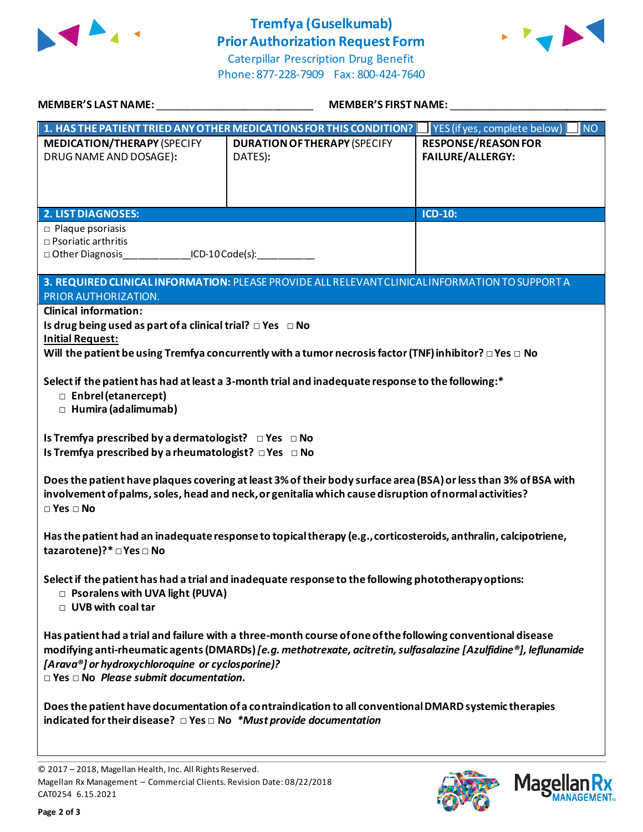

## **Tremfya (Guselkumab) Prior Authorization Request Form**





| <b>MEMBER'S LAST NAME:</b>                                                                                                                                                                                                                       | <b>MEMBER'S FIRST NAME:</b>                                                                                                                                                                                                    |                                                       |  |  |  |
|--------------------------------------------------------------------------------------------------------------------------------------------------------------------------------------------------------------------------------------------------|--------------------------------------------------------------------------------------------------------------------------------------------------------------------------------------------------------------------------------|-------------------------------------------------------|--|--|--|
|                                                                                                                                                                                                                                                  | 1. HAS THE PATIENT TRIED ANY OTHER MEDICATIONS FOR THIS CONDITION?                                                                                                                                                             | <b>NO</b><br>YES (if yes, complete below)             |  |  |  |
| <b>MEDICATION/THERAPY (SPECIFY</b><br>DRUG NAME AND DOSAGE):                                                                                                                                                                                     | <b>DURATION OF THERAPY (SPECIFY</b><br>DATES):                                                                                                                                                                                 | <b>RESPONSE/REASON FOR</b><br><b>FAILURE/ALLERGY:</b> |  |  |  |
| <b>2. LIST DIAGNOSES:</b>                                                                                                                                                                                                                        |                                                                                                                                                                                                                                | <b>ICD-10:</b>                                        |  |  |  |
| $\Box$ Plaque psoriasis<br>$\square$ Psoriatic arthritis<br>□ Other Diagnosis ICD-10 Code(s):                                                                                                                                                    |                                                                                                                                                                                                                                |                                                       |  |  |  |
|                                                                                                                                                                                                                                                  | 3. REQUIRED CLINICAL INFORMATION: PLEASE PROVIDE ALL RELEVANT CLINICAL INFORMATION TO SUPPORT A                                                                                                                                |                                                       |  |  |  |
| PRIOR AUTHORIZATION.<br><b>Clinical information:</b><br>Is drug being used as part of a clinical trial? $\Box$ Yes $\Box$ No<br><b>Initial Request:</b>                                                                                          | Will the patient be using Tremfya concurrently with a tumor necrosis factor (TNF) inhibitor? $\Box$ Yes $\Box$ No                                                                                                              |                                                       |  |  |  |
| Select if the patient has had at least a 3-month trial and inadequate response to the following:*<br>□ Enbrel (etanercept)<br>□ Humira (adalimumab)                                                                                              |                                                                                                                                                                                                                                |                                                       |  |  |  |
|                                                                                                                                                                                                                                                  | Is Tremfya prescribed by a dermatologist? $\Box$ Yes $\Box$ No<br>Is Tremfya prescribed by a rheumatologist? DYes DNo                                                                                                          |                                                       |  |  |  |
| Does the patient have plaques covering at least 3% of their body surface area (BSA) or less than 3% of BSA with<br>involvement of palms, soles, head and neck, or genitalia which cause disruption of normal activities?<br>$\Box$ Yes $\Box$ No |                                                                                                                                                                                                                                |                                                       |  |  |  |
| Has the patient had an inadequate response to topical therapy (e.g., corticosteroids, anthralin, calcipotriene,<br>tazarotene)?* □ Yes □ No                                                                                                      |                                                                                                                                                                                                                                |                                                       |  |  |  |
| Select if the patient has had a trial and inadequate response to the following phototherapy options:<br>□ Psoralens with UVA light (PUVA)<br>□ UVB with coal tar                                                                                 |                                                                                                                                                                                                                                |                                                       |  |  |  |
| [Arava®] or hydroxychloroquine or cyclosporine]?<br>$\square$ Yes $\square$ No Please submit documentation.                                                                                                                                      | Has patient had a trial and failure with a three-month course of one of the following conventional disease<br>modifying anti-rheumatic agents (DMARDs) [e.g. methotrexate, acitretin, sulfasalazine [Azulfidine®], leflunamide |                                                       |  |  |  |
| indicated for their disease? $\Box$ Yes $\Box$ No *Must provide documentation                                                                                                                                                                    | Does the patient have documentation of a contraindication to all conventional DMARD systemic therapies                                                                                                                         |                                                       |  |  |  |